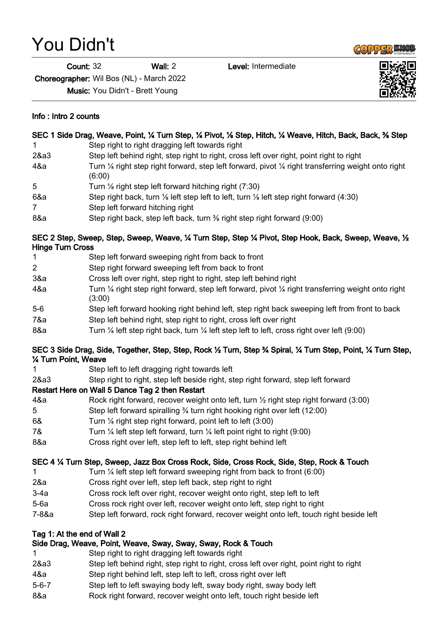## You Didn't

Info : Intro 2 counts

Count: 32 Wall: 2 Level: Intermediate

Choreographer: Wil Bos (NL) - March 2022

Music: You Didn't - Brett Young

1 Step right to right dragging left towards right

| 2&a3                        | Step left behind right, step right to right, cross left over right, point right to right                                           |
|-----------------------------|------------------------------------------------------------------------------------------------------------------------------------|
| 4&a                         | Turn $\frac{1}{4}$ right step right forward, step left forward, pivot $\frac{1}{4}$ right transferring weight onto right<br>(6:00) |
| 5                           | Turn 1/ <sub>8</sub> right step left forward hitching right (7:30)                                                                 |
| 6&a                         | Step right back, turn 1/8 left step left to left, turn 1/8 left step right forward (4:30)                                          |
| 7                           | Step left forward hitching right                                                                                                   |
| 8&a                         | Step right back, step left back, turn % right step right forward (9:00)                                                            |
| <b>Hinge Turn Cross</b>     | SEC 2 Step, Sweep, Step, Sweep, Weave, 1⁄4 Turn Step, Step 1⁄4 Pivot, Step Hook, Back, Sweep, Weave, 1/2                           |
| 1                           | Step left forward sweeping right from back to front                                                                                |
| $\overline{2}$              | Step right forward sweeping left from back to front                                                                                |
| 3&a                         | Cross left over right, step right to right, step left behind right                                                                 |
| 4&a                         | Turn $\frac{1}{4}$ right step right forward, step left forward, pivot $\frac{1}{4}$ right transferring weight onto right<br>(3:00) |
| $5-6$                       | Step left forward hooking right behind left, step right back sweeping left from front to back                                      |
| 7&a                         | Step left behind right, step right to right, cross left over right                                                                 |
| 8&a                         | Turn 1/4 left step right back, turn 1/4 left step left to left, cross right over left (9:00)                                       |
| 1⁄4 Turn Point, Weave       | SEC 3 Side Drag, Side, Together, Step, Step, Rock 1/2 Turn, Step 3/4 Spiral, 1/4 Turn Step, Point, 1/4 Turn Step,                  |
| 1                           | Step left to left dragging right towards left                                                                                      |
| 2&a3                        | Step right to right, step left beside right, step right forward, step left forward                                                 |
|                             | Restart Here on Wall 5 Dance Tag 2 then Restart                                                                                    |
| 4&a                         | Rock right forward, recover weight onto left, turn 1/2 right step right forward (3:00)                                             |
| 5                           | Step left forward spiralling 3⁄4 turn right hooking right over left (12:00)                                                        |
| 6&                          | Turn 1/4 right step right forward, point left to left (3:00)                                                                       |
| 7&                          | Turn $\frac{1}{4}$ left step left forward, turn $\frac{1}{4}$ left point right to right (9:00)                                     |
| 8&a                         | Cross right over left, step left to left, step right behind left                                                                   |
|                             |                                                                                                                                    |
|                             | SEC 4 1⁄4 Turn Step, Sweep, Jazz Box Cross Rock, Side, Cross Rock, Side, Step, Rock & Touch                                        |
| 1                           | Turn $\frac{1}{4}$ left step left forward sweeping right from back to front (6:00)                                                 |
| 2&a                         | Cross right over left, step left back, step right to right                                                                         |
| $3-4a$                      | Cross rock left over right, recover weight onto right, step left to left                                                           |
| $5-6a$                      | Cross rock right over left, recover weight onto left, step right to right                                                          |
| 7-8&a                       | Step left forward, rock right forward, recover weight onto left, touch right beside left                                           |
| Tag 1: At the end of Wall 2 |                                                                                                                                    |
|                             | Side Drag, Weave, Point, Weave, Sway, Sway, Sway, Rock & Touch                                                                     |
| 1                           | Step right to right dragging left towards right                                                                                    |
| 2&a3                        | Step left behind right, step right to right, cross left over right, point right to right                                           |
| 4&a                         | Step right behind left, step left to left, cross right over left                                                                   |
| $5 - 6 - 7$                 | Step left to left swaying body left, sway body right, sway body left                                                               |
| 8&a                         | Rock right forward, recover weight onto left, touch right beside left                                                              |
|                             |                                                                                                                                    |

SEC 1 Side Drag, Weave, Point, 1/4 Turn Step, 1/4 Pivot, 1/8 Step, Hitch, 1/4 Weave, Hitch, Back, Back, 3/8 Step